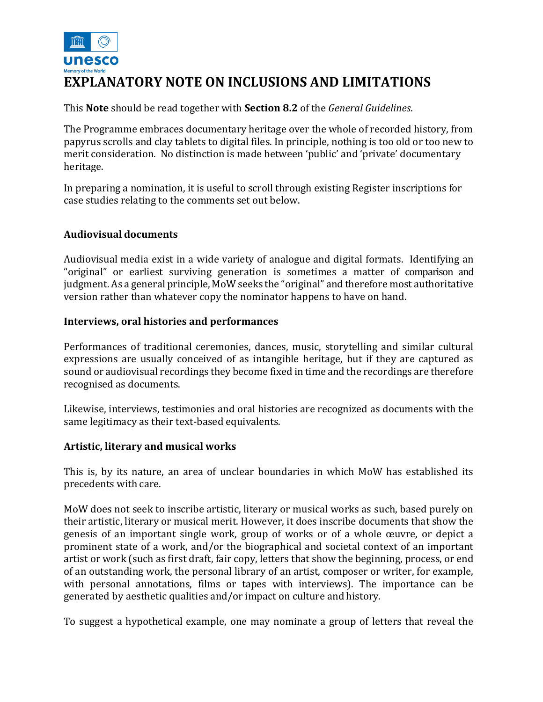

This **Note** should be read together with **Section 8.2** of the *General Guidelines*.

The Programme embraces documentary heritage over the whole of recorded history, from papyrus scrolls and clay tablets to digital files. In principle, nothing is too old or too new to merit consideration. No distinction is made between 'public' and 'private' documentary heritage.

In preparing a nomination, it is useful to scroll through existing Register inscriptions for case studies relating to the comments set out below.

# **Audiovisual documents**

Audiovisual media exist in a wide variety of analogue and digital formats. Identifying an "original" or earliest surviving generation is sometimes a matter of comparison and judgment. As a general principle, MoW seeks the "original" and therefore most authoritative version rather than whatever copy the nominator happens to have on hand.

## **Interviews, oral histories and performances**

Performances of traditional ceremonies, dances, music, storytelling and similar cultural expressions are usually conceived of as intangible heritage, but if they are captured as sound or audiovisual recordings they become fixed in time and the recordings are therefore recognised as documents.

Likewise, interviews, testimonies and oral histories are recognized as documents with the same legitimacy as their text-based equivalents.

## **Artistic, literary and musical works**

This is, by its nature, an area of unclear boundaries in which MoW has established its precedents with care.

MoW does not seek to inscribe artistic, literary or musical works as such, based purely on their artistic, literary or musical merit. However, it does inscribe documents that show the genesis of an important single work, group of works or of a whole œuvre, or depict a prominent state of a work, and/or the biographical and societal context of an important artist or work (such as first draft, fair copy, letters that show the beginning, process, or end of an outstanding work, the personal library of an artist, composer or writer, for example, with personal annotations, films or tapes with interviews). The importance can be generated by aesthetic qualities and/or impact on culture and history.

To suggest a hypothetical example, one may nominate a group of letters that reveal the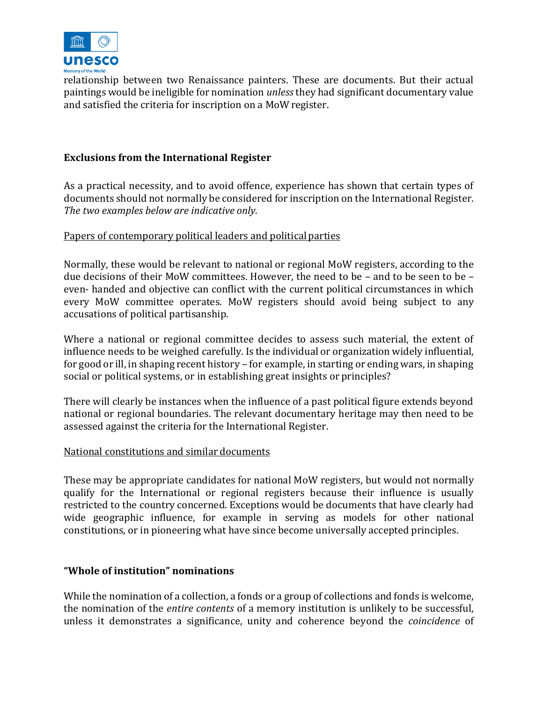

relationship between two Renaissance painters. These are documents. But their actual paintings would be ineligible for nomination *unless* they had significant documentary value and satisfied the criteria for inscription on a MoW register.

## **Exclusions from the International Register**

As a practical necessity, and to avoid offence, experience has shown that certain types of documents should not normally be considered for inscription on the International Register. *The two examples below are indicative only.*

## Papers of contemporary political leaders and political parties

Normally, these would be relevant to national or regional MoW registers, according to the due decisions of their MoW committees. However, the need to be – and to be seen to be – even- handed and objective can conflict with the current political circumstances in which every MoW committee operates. MoW registers should avoid being subject to any accusations of political partisanship.

Where a national or regional committee decides to assess such material, the extent of influence needs to be weighed carefully. Is the individual or organization widely influential, for good or ill, in shaping recent history – for example, in starting or ending wars, in shaping social or political systems, or in establishing great insights or principles?

There will clearly be instances when the influence of a past political figure extends beyond national or regional boundaries. The relevant documentary heritage may then need to be assessed against the criteria for the International Register.

## National constitutions and similar documents

These may be appropriate candidates for national MoW registers, but would not normally qualify for the International or regional registers because their influence is usually restricted to the country concerned. Exceptions would be documents that have clearly had wide geographic influence, for example in serving as models for other national constitutions, or in pioneering what have since become universally accepted principles.

## **"Whole of institution" nominations**

While the nomination of a collection, a fonds or a group of collections and fonds is welcome, the nomination of the *entire contents* of a memory institution is unlikely to be successful, unless it demonstrates a significance, unity and coherence beyond the *coincidence* of